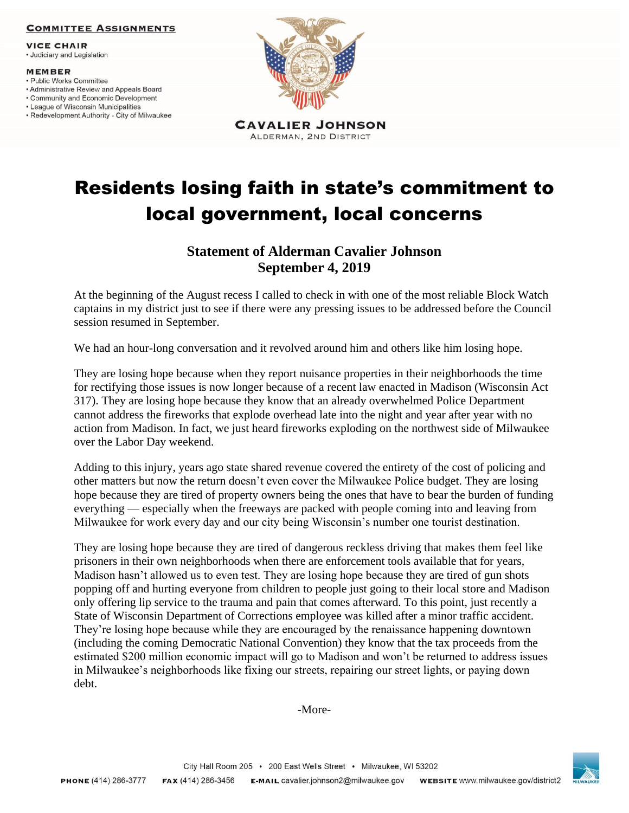## **COMMITTEE ASSIGNMENTS**

**VICE CHAIR** 

· Judiciary and Legislation

## **MEMBER**

- · Public Works Committee
- Administrative Review and Appeals Board
- Community and Economic Development • League of Wisconsin Municipalities
- Redevelopment Authority City of Milwaukee



Residents losing faith in state's commitment to local government, local concerns

## **Statement of Alderman Cavalier Johnson September 4, 2019**

At the beginning of the August recess I called to check in with one of the most reliable Block Watch captains in my district just to see if there were any pressing issues to be addressed before the Council session resumed in September.

We had an hour-long conversation and it revolved around him and others like him losing hope.

They are losing hope because when they report nuisance properties in their neighborhoods the time for rectifying those issues is now longer because of a recent law enacted in Madison (Wisconsin Act 317). They are losing hope because they know that an already overwhelmed Police Department cannot address the fireworks that explode overhead late into the night and year after year with no action from Madison. In fact, we just heard fireworks exploding on the northwest side of Milwaukee over the Labor Day weekend.

Adding to this injury, years ago state shared revenue covered the entirety of the cost of policing and other matters but now the return doesn't even cover the Milwaukee Police budget. They are losing hope because they are tired of property owners being the ones that have to bear the burden of funding everything — especially when the freeways are packed with people coming into and leaving from Milwaukee for work every day and our city being Wisconsin's number one tourist destination.

They are losing hope because they are tired of dangerous reckless driving that makes them feel like prisoners in their own neighborhoods when there are enforcement tools available that for years, Madison hasn't allowed us to even test. They are losing hope because they are tired of gun shots popping off and hurting everyone from children to people just going to their local store and Madison only offering lip service to the trauma and pain that comes afterward. To this point, just recently a State of Wisconsin Department of Corrections employee was killed after a minor traffic accident. They're losing hope because while they are encouraged by the renaissance happening downtown (including the coming Democratic National Convention) they know that the tax proceeds from the estimated \$200 million economic impact will go to Madison and won't be returned to address issues in Milwaukee's neighborhoods like fixing our streets, repairing our street lights, or paying down debt.

-More-